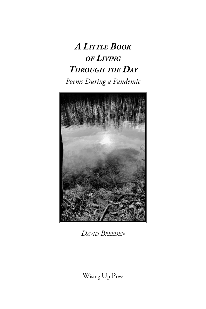# *A Little Book of Living Through the Day Poems During a Pandemic*



*David Breeden*

Wising Up Press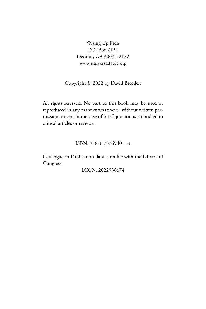Wising Up Press P.O. Box 2122 Decatur, GA 30031-2122 www.universaltable.org

Copyright © 2022 by David Breeden

All rights reserved. No part of this book may be used or reproduced in any manner whatsoever without written permission, except in the case of brief quotations embodied in critical articles or reviews.

#### ISBN: 978-1-7376940-1-4

Catalogue-in-Publication data is on file with the Library of Congress.

LCCN: 2022936674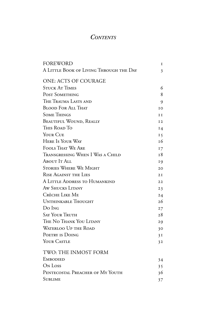## *Contents*

| <b>FOREWORD</b>                         | $\mathbf I$ |
|-----------------------------------------|-------------|
| A LITTLE BOOK OF LIVING THROUGH THE DAY | 3           |
| ONE: ACTS OF COURAGE                    |             |
| <b>STUCK AT TIMES</b>                   | 6           |
| POST SOMETHING                          | 8           |
| THE TRAUMA LASTS AND                    | 9           |
| <b>BLOOD FOR ALL THAT</b>               | IO          |
| <b>SOME THINGS</b>                      | I I         |
| <b>BEAUTIFUL WOUND, REALLY</b>          | I2          |
| THIS ROAD TO                            | $I_4$       |
| YOUR CUE                                | $I\,5$      |
| <b>HERE IS YOUR WAY</b>                 | 16          |
| <b>FOOLS THAT WE ARE</b>                | 17          |
| Transgressing When I Was a Child        | 18          |
| ABOUT IT ALL                            | 19          |
| <b>STORIES WHERE WE MIGHT</b>           | 20          |
| <b>RISE AGAINST THE LIES</b>            | 2I          |
| A LITTLE ADDRESS TO HUMANKIND           | 22          |
| AW SHUCKS LITANY                        | 23          |
| CRÈCHE LIKE ME                          | 24          |
| UNTHINKABLE THOUGHT                     | 26          |
| Do Ing                                  | 27          |
| <b>SAY YOUR TRUTH</b>                   | 28          |
| THE NO THANK YOU LITANY                 | 29          |
| WATERLOO UP THE ROAD                    | 30          |
| POETRY IS DOING                         | 3I          |
| YOUR CASTLE                             | 32          |
| TWO: THE INMOST FORM                    |             |
| <b>EMBODIED</b>                         | 34          |
| ON Loss                                 | 35          |
| PENTECOSTAL PREACHER OF MY YOUTH        | 36          |
| <b>SUBLIME</b>                          | 37          |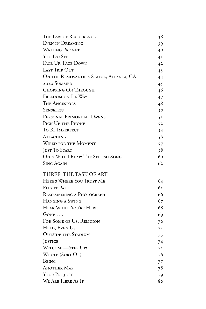| THE LAW OF RECURRENCE                   | 38 |
|-----------------------------------------|----|
| <b>EVEN IN DREAMING</b>                 | 39 |
| <b>WRITING PROMPT</b>                   | 40 |
| YOU DO SEE                              | 4I |
| FACE UP, FACE DOWN                      | 42 |
| LAST TRIP OUT                           | 43 |
| ON THE REMOVAL OF A STATUE, ATLANTA, GA | 44 |
| 2020 SUMMER                             | 45 |
| CHOPPING ON THROUGH                     | 46 |
| FREEDOM ON ITS WAY                      | 47 |
| <b>THE ANCESTORS</b>                    | 48 |
| Senseless                               | 50 |
| PERSONAL PRIMORDIAL DAWNS               | 5I |
| PICK UP THE PHONE                       | 52 |
| TO BE IMPERFECT                         | 54 |
| ATTACHING                               | 56 |
| <b>WIRED FOR THE MOMENT</b>             | 57 |
| JUST TO START                           | 58 |
| ONLY WILL I REAP: THE SELFISH SONG      | 60 |
| Sing Again                              | 62 |
|                                         |    |
| THREE: THE TASK OF ART                  |    |
| HERE'S WHERE YOU TRUST ME               | 64 |
| <b>FLIGHT PATH</b>                      | 65 |
| REMEMBERING A PHOTOGRAPH                | 66 |
| HANGING A SWING                         | 67 |
| HEAR WHILE YOU'RE HERE                  | 68 |
| GONE                                    | 69 |
| FOR SOME OF US, RELIGION                | 70 |
| HELD, EVEN US                           | 72 |
| <b>OUTSIDE THE STADIUM</b>              | 73 |
| <b>JUSTICE</b>                          | 74 |
| WELCOME-STEP UP!                        | 75 |
| WHOLE (SORT OF)                         | 76 |
| Being                                   | 77 |
| <b>ANOTHER MAP</b>                      | 78 |
| YOUR PROJECT                            | 79 |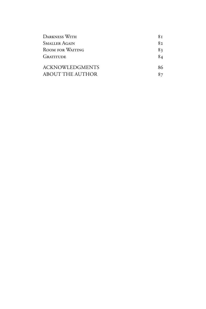| <b>DARKNESS WITH</b>                       | 8т       |
|--------------------------------------------|----------|
| <b>SMALLER AGAIN</b>                       | 82       |
| ROOM FOR WAITING                           | 83       |
| <b>GRATITUDE</b>                           | 84       |
| <b>ACKNOWLEDGMENTS</b><br>ABOUT THE AUTHOR | 86<br>87 |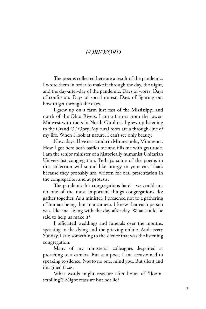#### *FOREWORD*

The poems collected here are a result of the pandemic. I wrote them in order to make it through the day, the night, and the day-after-day of the pandemic. Days of worry. Days of confusion. Days of social unrest. Days of figuring out how to get through the days.

I grew up on a farm just east of the Mississippi and north of the Ohio Rivers. I am a farmer from the lower-Midwest with roots in North Carolina. I grew up listening to the Grand Ol' Opry. My rural roots are a through-line of my life. When I look at nature, I can't see only beauty.

Nowadays, I live in a condo in Minneapolis, Minnesota. How I got here both baffles me and fills me with gratitude. I am the senior minister of a historically humanist Unitarian Universalist congregation. Perhaps some of the poems in this collection will sound like liturgy to your ear. That's because they probably are, written for oral presentation in the congregation and at protests.

The pandemic hit congregations hard—we could not do one of the most important things congregations do: gather together. As a minister, I preached not to a gathering of human beings but to a camera. I knew that each person was, like me, living with the day-after-day. What could be said to help us make it?

I officiated weddings and funerals over the months, speaking to the dying and the grieving online. And, every Sunday, I said something to the silence that was the listening congregation.

Many of my ministerial colleagues despaired at preaching to a camera. But as a poet, I am accustomed to speaking to silence. Not to no one, mind you. But silent and imagined faces.

What words might reassure after hours of "doomscrolling"? Might reassure but not lie?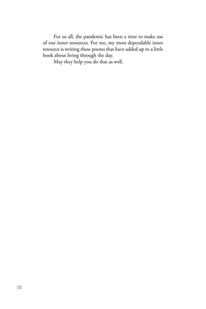For us all, the pandemic has been a time to make use of our inner resources. For me, my most dependable inner resource is writing these poems that have added up to a little book about living through the day.

May they help you do that as well.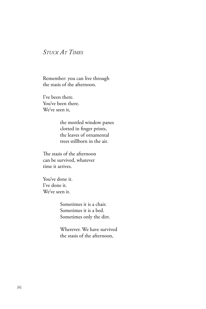## *Stuck At Times*

Remember: you can live through the stasis of the afternoon.

I've been there. You've been there. We've seen it,

> the mottled window panes clotted in finger prints, the leaves of ornamental trees stillborn in the air.

The stasis of the afternoon can be survived, whatever time it arrives.

You've done it. I've done it. We've seen it.

> Sometimes it is a chair. Sometimes it is a bed. Sometimes only the dirt.

Wherever. We have survived the stasis of the afternoon,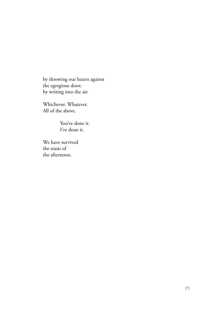by throwing our hearts against the egregious door; by writing into the air.

Whichever. Whatever. All of the above.

> You've done it. I've done it.

We have survived the stasis of the afternoon.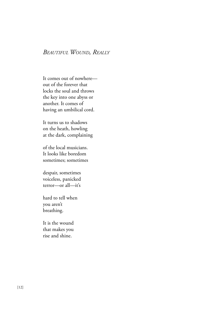#### *Beautiful Wound, Really*

It comes out of nowhere out of the forever that locks the soul and throws the key into one abyss or another. It comes of having an umbilical cord.

It turns us to shadows on the heath, howling at the dark, complaining

of the local musicians. It looks like boredom sometimes; sometimes

despair, sometimes voiceless, panicked terror—or all—it's

hard to tell when you aren't breathing.

It is the wound that makes you rise and shine.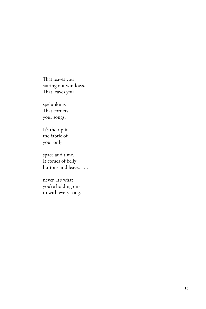That leaves you staring out windows. That leaves you

spelunking. That corners your songs.

It's the rip in the fabric of your only

space and time. It comes of belly buttons and leaves . . .

never. It's what you're holding onto with every song.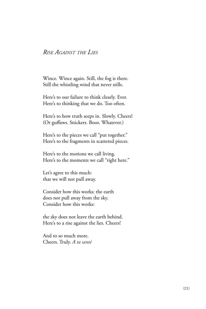#### *Rise Against the Lies*

Wince. Wince again. Still, the fog is there. Still the whistling wind that never stills.

Here's to our failure to think clearly. Ever. Here's to thinking that we do. Too often.

Here's to how truth seeps in. Slowly. Cheers! (Or guffaws. Snickers. Boos. Whatever.)

Here's to the pieces we call "put together." Here's to the fragments in scattered pieces.

Here's to the motions we call living. Here's to the moments we call "right here."

Let's agree to this much: that we will not pull away.

Consider how this works: the earth does not pull away from the sky. Consider how this works:

the sky does not leave the earth behind. Here's to a rise against the lies. Cheers!

And to so much more. Cheers. Truly. *A ta santé*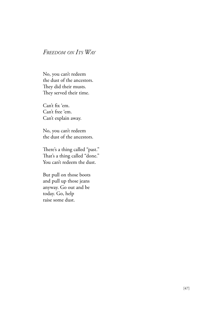## *Freedom on Its Way*

No, you can't redeem the dust of the ancestors. They did their musts. They served their time.

Can't fix 'em. Can't free 'em. Can't explain away.

No, you can't redeem the dust of the ancestors.

There's a thing called "past." That's a thing called "done." You can't redeem the dust.

But pull on those boots and pull up those jeans anyway. Go out and be today. Go, help raise some dust.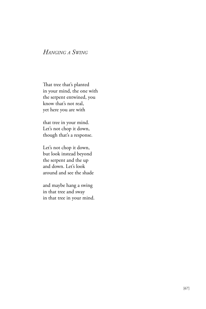## *Hanging a Swing*

That tree that's planted in your mind, the one with the serpent entwined, you know that's not real, yet here you are with

that tree in your mind. Let's not chop it down, though that's a response.

Let's not chop it down, but look instead beyond the serpent and the up and down. Let's look around and see the shade

and maybe hang a swing in that tree and sway in that tree in your mind.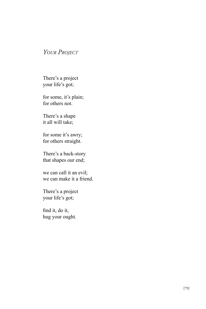### *Your Project*

There's a project your life's got;

for some, it's plain; for others not.

There's a shape it all will take;

for some it's awry; for others straight.

There's a back-story that shapes our end;

we can call it an evil; we can make it a friend.

There's a project your life's got;

find it, do it, hug your ought.